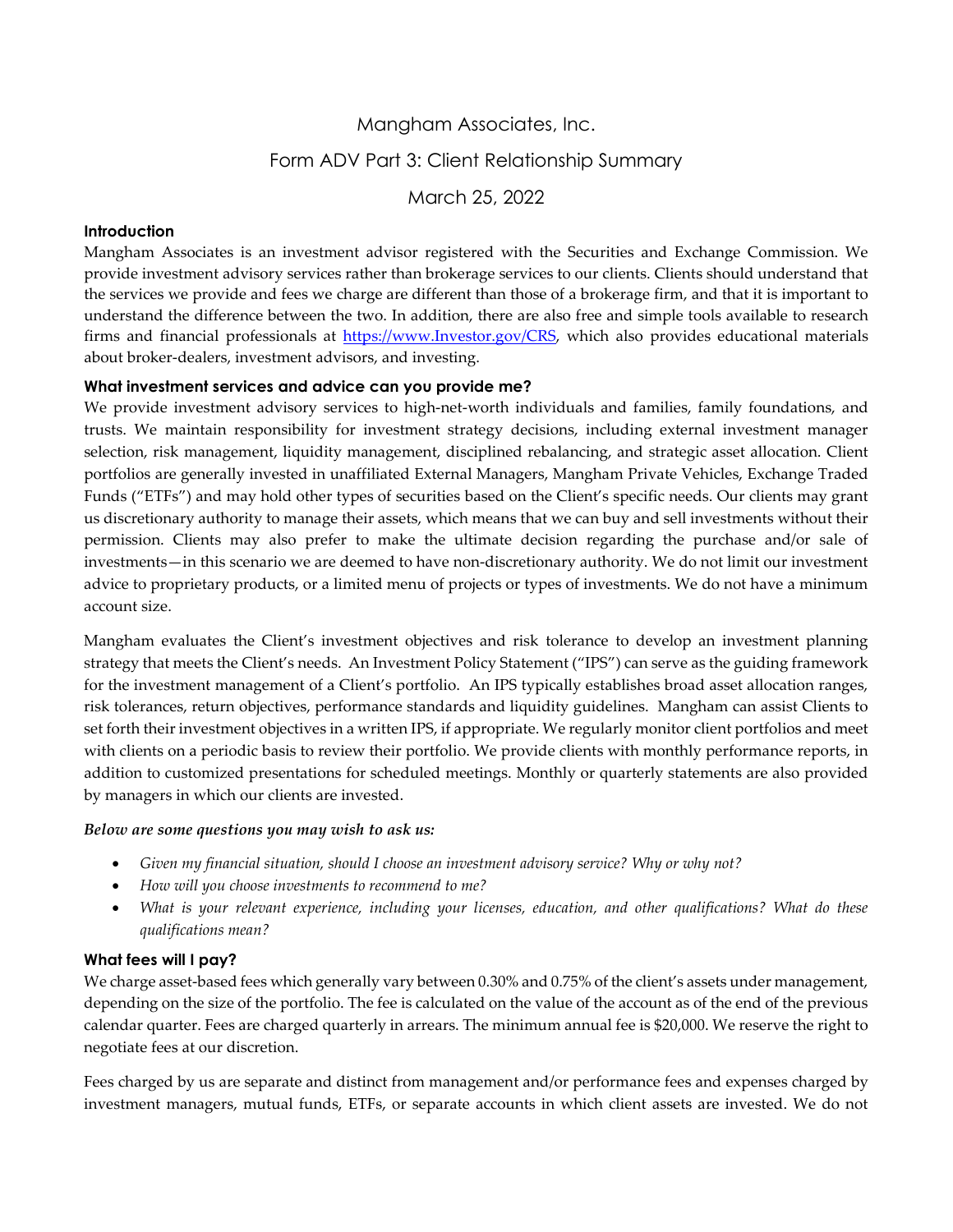# Mangham Associates, Inc. Form ADV Part 3: Client Relationship Summary March 25, 2022

## **Introduction**

Mangham Associates is an investment advisor registered with the Securities and Exchange Commission. We provide investment advisory services rather than brokerage services to our clients. Clients should understand that the services we provide and fees we charge are different than those of a brokerage firm, and that it is important to understand the difference between the two. In addition, there are also free and simple tools available to research firms and financial professionals at [https://www.Investor.gov/CRS,](https://www.investor.gov/CRS) which also provides educational materials about broker-dealers, investment advisors, and investing.

### **What investment services and advice can you provide me?**

We provide investment advisory services to high-net-worth individuals and families, family foundations, and trusts. We maintain responsibility for investment strategy decisions, including external investment manager selection, risk management, liquidity management, disciplined rebalancing, and strategic asset allocation. Client portfolios are generally invested in unaffiliated External Managers, Mangham Private Vehicles, Exchange Traded Funds ("ETFs") and may hold other types of securities based on the Client's specific needs. Our clients may grant us discretionary authority to manage their assets, which means that we can buy and sell investments without their permission. Clients may also prefer to make the ultimate decision regarding the purchase and/or sale of investments—in this scenario we are deemed to have non-discretionary authority. We do not limit our investment advice to proprietary products, or a limited menu of projects or types of investments. We do not have a minimum account size.

Mangham evaluates the Client's investment objectives and risk tolerance to develop an investment planning strategy that meets the Client's needs. An Investment Policy Statement ("IPS") can serve as the guiding framework for the investment management of a Client's portfolio. An IPS typically establishes broad asset allocation ranges, risk tolerances, return objectives, performance standards and liquidity guidelines. Mangham can assist Clients to set forth their investment objectives in a written IPS, if appropriate. We regularly monitor client portfolios and meet with clients on a periodic basis to review their portfolio. We provide clients with monthly performance reports, in addition to customized presentations for scheduled meetings. Monthly or quarterly statements are also provided by managers in which our clients are invested.

### *Below are some questions you may wish to ask us:*

- *Given my financial situation, should I choose an investment advisory service? Why or why not?*
- *How will you choose investments to recommend to me?*
- *What is your relevant experience, including your licenses, education, and other qualifications? What do these qualifications mean?*

## **What fees will I pay?**

We charge asset-based fees which generally vary between 0.30% and 0.75% of the client's assets under management, depending on the size of the portfolio. The fee is calculated on the value of the account as of the end of the previous calendar quarter. Fees are charged quarterly in arrears. The minimum annual fee is \$20,000. We reserve the right to negotiate fees at our discretion.

Fees charged by us are separate and distinct from management and/or performance fees and expenses charged by investment managers, mutual funds, ETFs, or separate accounts in which client assets are invested. We do not